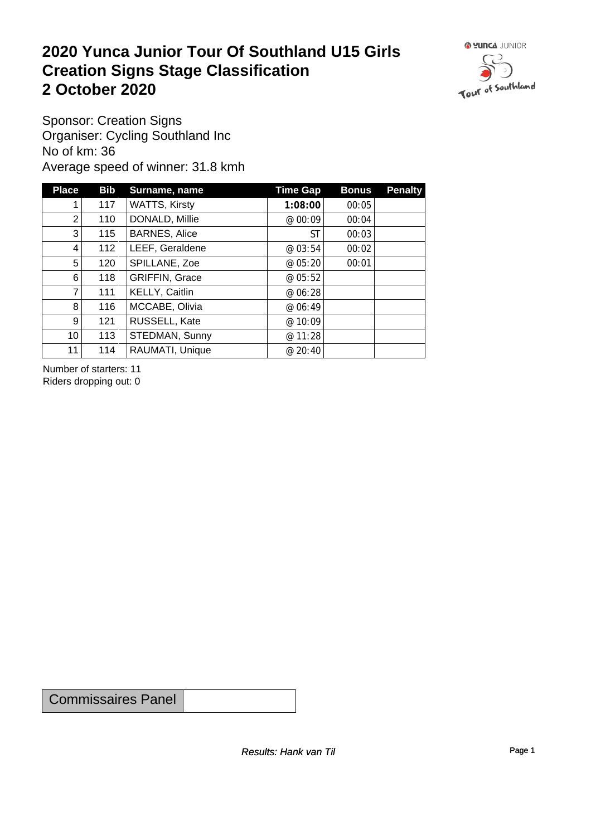#### **2020 Yunca Junior Tour Of Southland U15 Girls Creation Signs Stage Classification**<br>
2 October 2020 **2 October 2020**



Sponsor: Creation Signs Organiser: Cycling Southland Inc No of km: 36 Average speed of winner: 31.8 kmh

| <b>Place</b>    | Bib | Surname, name         | <b>Time Gap</b> | <b>Bonus</b> | <b>Penalty</b> |
|-----------------|-----|-----------------------|-----------------|--------------|----------------|
| 1               | 117 | <b>WATTS, Kirsty</b>  | 1:08:00         | 00:05        |                |
| $\overline{2}$  | 110 | DONALD, Millie        | @ 00:09         | 00:04        |                |
| 3 <sup>1</sup>  | 115 | <b>BARNES, Alice</b>  | <b>ST</b>       | 00:03        |                |
| $\overline{4}$  | 112 | LEEF, Geraldene       | @ 03:54         | 00:02        |                |
| 5               | 120 | SPILLANE, Zoe         | @ 05:20         | 00:01        |                |
| 6               | 118 | <b>GRIFFIN, Grace</b> | @ 05:52         |              |                |
| $\overline{7}$  | 111 | KELLY, Caitlin        | @ 06:28         |              |                |
| 8               | 116 | MCCABE, Olivia        | @ 06:49         |              |                |
| 9               | 121 | RUSSELL, Kate         | @ 10:09         |              |                |
| 10 <sup>1</sup> | 113 | STEDMAN, Sunny        | @ 11:28         |              |                |
| 11              | 114 | RAUMATI, Unique       | @ 20:40         |              |                |

Number of starters: 11 Riders dropping out: 0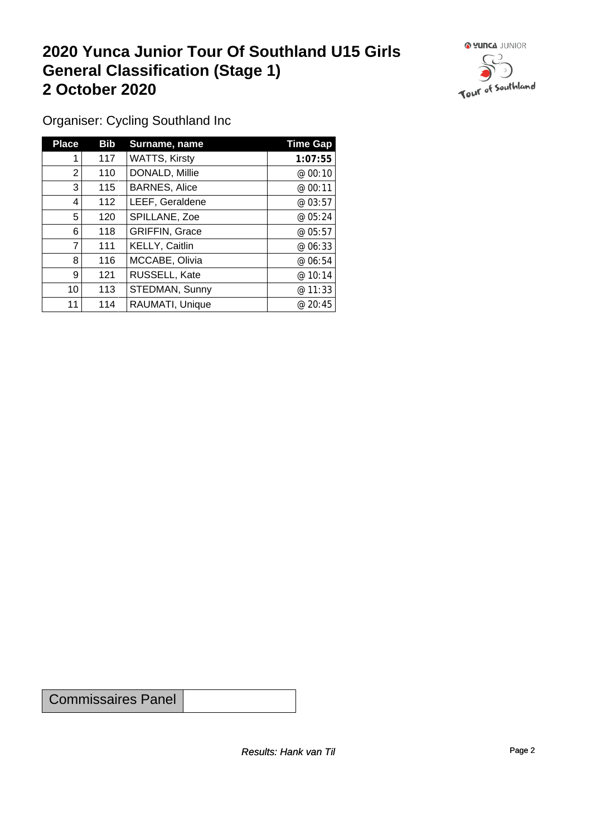### **2020 Yunca Junior Tour Of Southland U15 Girls General Classification (Stage 1)**<br>
2 October 2020 **2 October 2020**



Organiser: Cycling Southland Inc

| <b>Place</b>   | <b>Bib</b> | Surname, name         | <b>Time Gap</b> |
|----------------|------------|-----------------------|-----------------|
|                | 117        | <b>WATTS, Kirsty</b>  | 1:07:55         |
| $\overline{2}$ | 110        | DONALD, Millie        | @ 00:10         |
| 3              | 115        | <b>BARNES, Alice</b>  | @ 00:11         |
| 4              | 112        | LEEF, Geraldene       | @03:57          |
| 5              | 120        | SPILLANE, Zoe         | @ 05:24         |
| 6              | 118        | <b>GRIFFIN, Grace</b> | @ 05:57         |
| 7              | 111        | KELLY, Caitlin        | @ 06:33         |
| 8              | 116        | MCCABE, Olivia        | @ 06:54         |
| 9              | 121        | RUSSELL, Kate         | @10:14          |
| 10             | 113        | STEDMAN, Sunny        | @ 11:33         |
| 11             | 114        | RAUMATI, Unique       | @ 20:45         |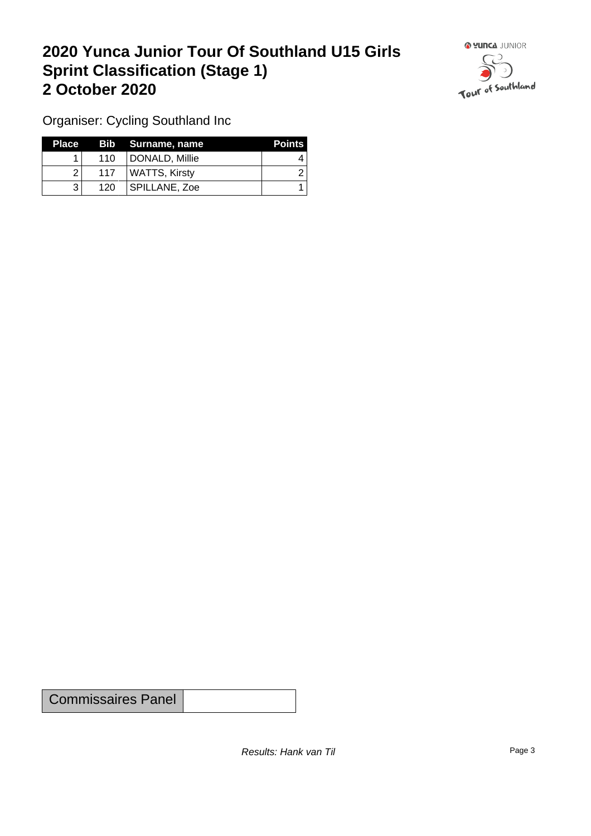### **2020 Yunca Junior Tour Of Southland U15 Girls Sprint Classification (Stage 1) 2 October 2020**



Organiser: Cycling Southland Inc

| Place 7 |                  | Bib Surname, name | <b>Points</b> |
|---------|------------------|-------------------|---------------|
|         | 110              | DONALD, Millie    |               |
|         | 117 <sub>1</sub> | WATTS, Kirsty     |               |
|         | 120 <sub>1</sub> | SPILLANE, Zoe     |               |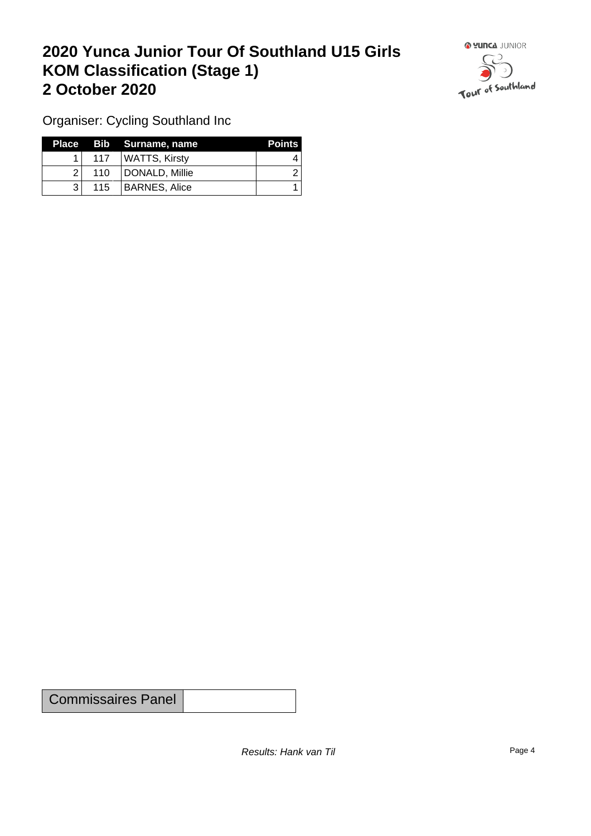## **2020 Yunca Junior Tour Of Southland U15 Girls KOM Classification (Stage 1) 2 October 2020**



Organiser: Cycling Southland Inc

|     |                  | Place Bib Surname, name | <b>Points</b> |
|-----|------------------|-------------------------|---------------|
|     | 117 <sup>1</sup> | WATTS, Kirsty           |               |
| 21  | 110              | DONALD, Millie          |               |
| ? । | 115              | BARNES, Alice           |               |